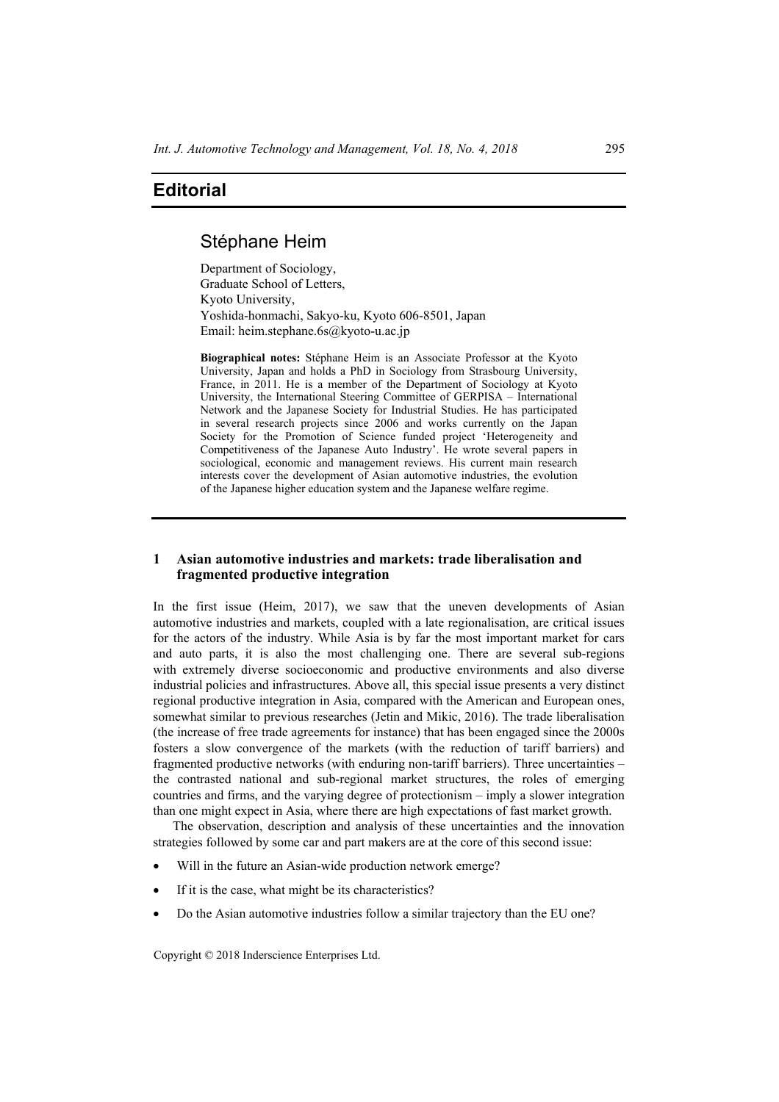## Stéphane Heim

Department of Sociology, Graduate School of Letters, Kyoto University, Yoshida-honmachi, Sakyo-ku, Kyoto 606-8501, Japan Email: heim.stephane.6s@kyoto-u.ac.jp

**Biographical notes:** Stéphane Heim is an Associate Professor at the Kyoto University, Japan and holds a PhD in Sociology from Strasbourg University, France, in 2011. He is a member of the Department of Sociology at Kyoto University, the International Steering Committee of GERPISA – International Network and the Japanese Society for Industrial Studies. He has participated in several research projects since 2006 and works currently on the Japan Society for the Promotion of Science funded project 'Heterogeneity and Competitiveness of the Japanese Auto Industry'. He wrote several papers in sociological, economic and management reviews. His current main research interests cover the development of Asian automotive industries, the evolution of the Japanese higher education system and the Japanese welfare regime.

## **1 Asian automotive industries and markets: trade liberalisation and fragmented productive integration**

In the first issue (Heim, 2017), we saw that the uneven developments of Asian automotive industries and markets, coupled with a late regionalisation, are critical issues for the actors of the industry. While Asia is by far the most important market for cars and auto parts, it is also the most challenging one. There are several sub-regions with extremely diverse socioeconomic and productive environments and also diverse industrial policies and infrastructures. Above all, this special issue presents a very distinct regional productive integration in Asia, compared with the American and European ones, somewhat similar to previous researches (Jetin and Mikic, 2016). The trade liberalisation (the increase of free trade agreements for instance) that has been engaged since the 2000s fosters a slow convergence of the markets (with the reduction of tariff barriers) and fragmented productive networks (with enduring non-tariff barriers). Three uncertainties – the contrasted national and sub-regional market structures, the roles of emerging countries and firms, and the varying degree of protectionism – imply a slower integration than one might expect in Asia, where there are high expectations of fast market growth.

The observation, description and analysis of these uncertainties and the innovation strategies followed by some car and part makers are at the core of this second issue:

- Will in the future an Asian-wide production network emerge?
- If it is the case, what might be its characteristics?
- Do the Asian automotive industries follow a similar trajectory than the EU one?

Copyright © 2018 Inderscience Enterprises Ltd.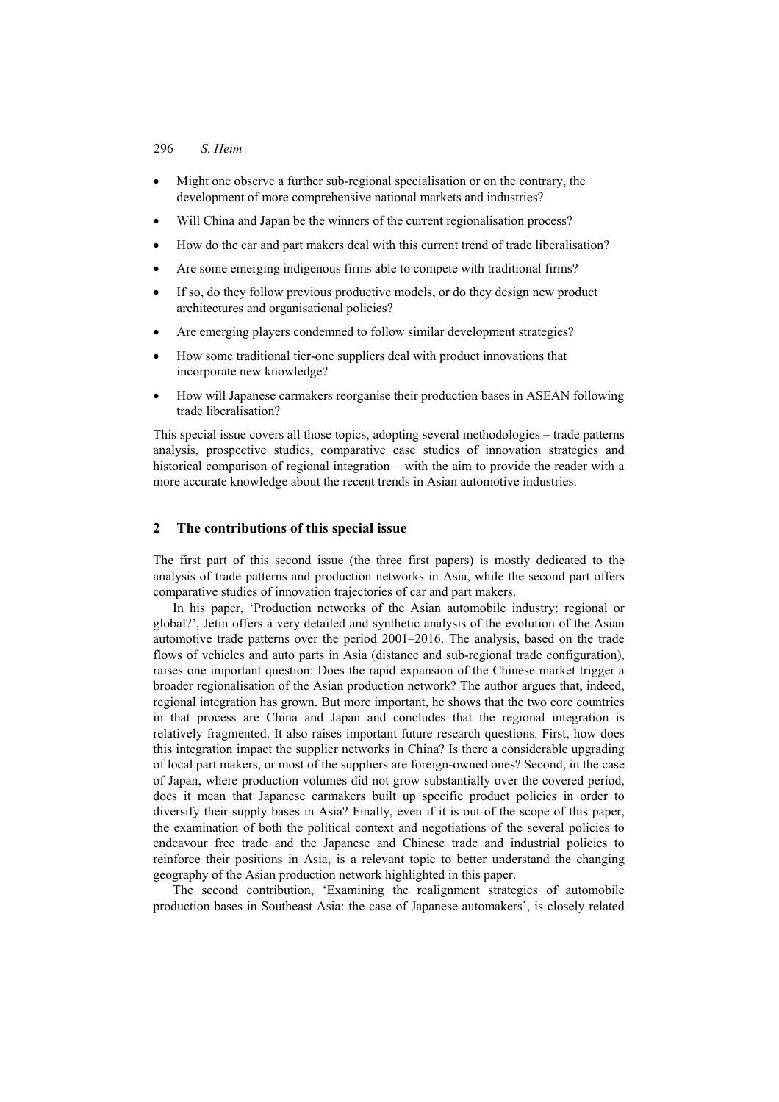### 296 *S. Heim*

- Might one observe a further sub-regional specialisation or on the contrary, the development of more comprehensive national markets and industries?
- Will China and Japan be the winners of the current regionalisation process?
- How do the car and part makers deal with this current trend of trade liberalisation?
- Are some emerging indigenous firms able to compete with traditional firms?
- If so, do they follow previous productive models, or do they design new product architectures and organisational policies?
- Are emerging players condemned to follow similar development strategies?
- How some traditional tier-one suppliers deal with product innovations that incorporate new knowledge?
- How will Japanese carmakers reorganise their production bases in ASEAN following trade liberalisation?

This special issue covers all those topics, adopting several methodologies – trade patterns analysis, prospective studies, comparative case studies of innovation strategies and historical comparison of regional integration – with the aim to provide the reader with a more accurate knowledge about the recent trends in Asian automotive industries.

#### **2 The contributions of this special issue**

The first part of this second issue (the three first papers) is mostly dedicated to the analysis of trade patterns and production networks in Asia, while the second part offers comparative studies of innovation trajectories of car and part makers.

In his paper, 'Production networks of the Asian automobile industry: regional or global?', Jetin offers a very detailed and synthetic analysis of the evolution of the Asian automotive trade patterns over the period 2001–2016. The analysis, based on the trade flows of vehicles and auto parts in Asia (distance and sub-regional trade configuration), raises one important question: Does the rapid expansion of the Chinese market trigger a broader regionalisation of the Asian production network? The author argues that, indeed, regional integration has grown. But more important, he shows that the two core countries in that process are China and Japan and concludes that the regional integration is relatively fragmented. It also raises important future research questions. First, how does this integration impact the supplier networks in China? Is there a considerable upgrading of local part makers, or most of the suppliers are foreign-owned ones? Second, in the case of Japan, where production volumes did not grow substantially over the covered period, does it mean that Japanese carmakers built up specific product policies in order to diversify their supply bases in Asia? Finally, even if it is out of the scope of this paper, the examination of both the political context and negotiations of the several policies to endeavour free trade and the Japanese and Chinese trade and industrial policies to reinforce their positions in Asia, is a relevant topic to better understand the changing geography of the Asian production network highlighted in this paper.

The second contribution, 'Examining the realignment strategies of automobile production bases in Southeast Asia: the case of Japanese automakers', is closely related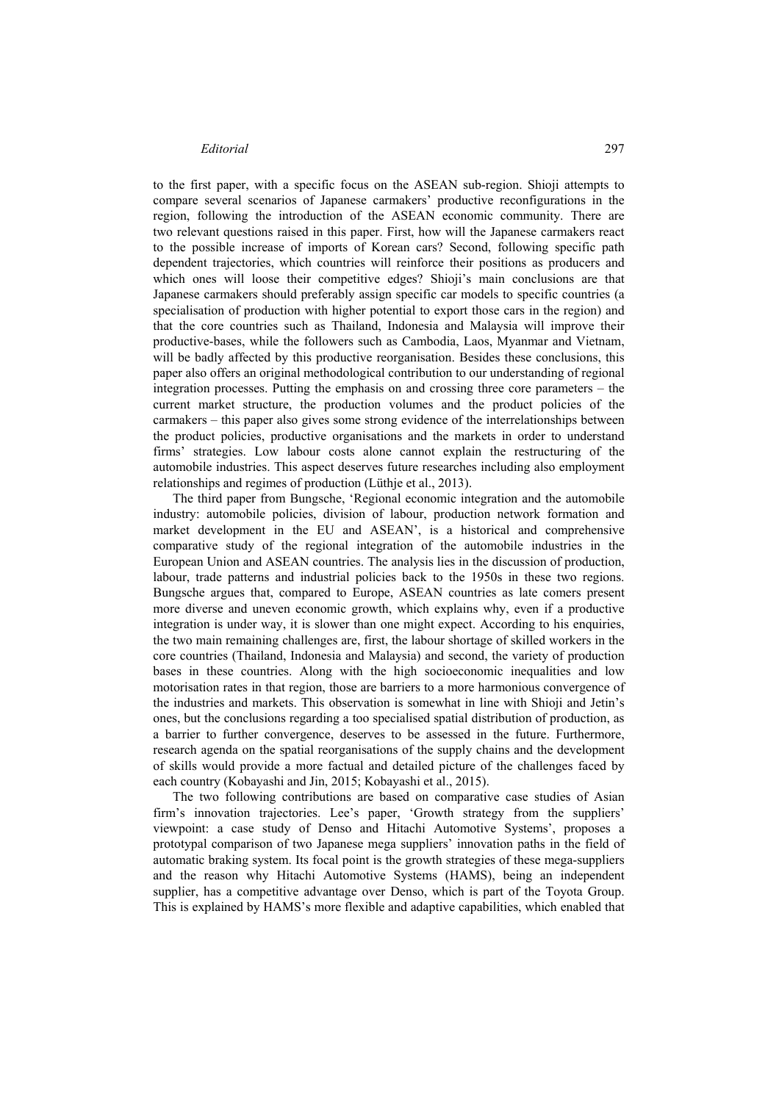to the first paper, with a specific focus on the ASEAN sub-region. Shioji attempts to compare several scenarios of Japanese carmakers' productive reconfigurations in the region, following the introduction of the ASEAN economic community. There are two relevant questions raised in this paper. First, how will the Japanese carmakers react to the possible increase of imports of Korean cars? Second, following specific path dependent trajectories, which countries will reinforce their positions as producers and which ones will loose their competitive edges? Shioji's main conclusions are that Japanese carmakers should preferably assign specific car models to specific countries (a specialisation of production with higher potential to export those cars in the region) and that the core countries such as Thailand, Indonesia and Malaysia will improve their productive-bases, while the followers such as Cambodia, Laos, Myanmar and Vietnam, will be badly affected by this productive reorganisation. Besides these conclusions, this paper also offers an original methodological contribution to our understanding of regional integration processes. Putting the emphasis on and crossing three core parameters – the current market structure, the production volumes and the product policies of the carmakers – this paper also gives some strong evidence of the interrelationships between the product policies, productive organisations and the markets in order to understand firms' strategies. Low labour costs alone cannot explain the restructuring of the automobile industries. This aspect deserves future researches including also employment relationships and regimes of production (Lüthje et al., 2013).

The third paper from Bungsche, 'Regional economic integration and the automobile industry: automobile policies, division of labour, production network formation and market development in the EU and ASEAN', is a historical and comprehensive comparative study of the regional integration of the automobile industries in the European Union and ASEAN countries. The analysis lies in the discussion of production, labour, trade patterns and industrial policies back to the 1950s in these two regions. Bungsche argues that, compared to Europe, ASEAN countries as late comers present more diverse and uneven economic growth, which explains why, even if a productive integration is under way, it is slower than one might expect. According to his enquiries, the two main remaining challenges are, first, the labour shortage of skilled workers in the core countries (Thailand, Indonesia and Malaysia) and second, the variety of production bases in these countries. Along with the high socioeconomic inequalities and low motorisation rates in that region, those are barriers to a more harmonious convergence of the industries and markets. This observation is somewhat in line with Shioji and Jetin's ones, but the conclusions regarding a too specialised spatial distribution of production, as a barrier to further convergence, deserves to be assessed in the future. Furthermore, research agenda on the spatial reorganisations of the supply chains and the development of skills would provide a more factual and detailed picture of the challenges faced by each country (Kobayashi and Jin, 2015; Kobayashi et al., 2015).

The two following contributions are based on comparative case studies of Asian firm's innovation trajectories. Lee's paper, 'Growth strategy from the suppliers' viewpoint: a case study of Denso and Hitachi Automotive Systems', proposes a prototypal comparison of two Japanese mega suppliers' innovation paths in the field of automatic braking system. Its focal point is the growth strategies of these mega-suppliers and the reason why Hitachi Automotive Systems (HAMS), being an independent supplier, has a competitive advantage over Denso, which is part of the Toyota Group. This is explained by HAMS's more flexible and adaptive capabilities, which enabled that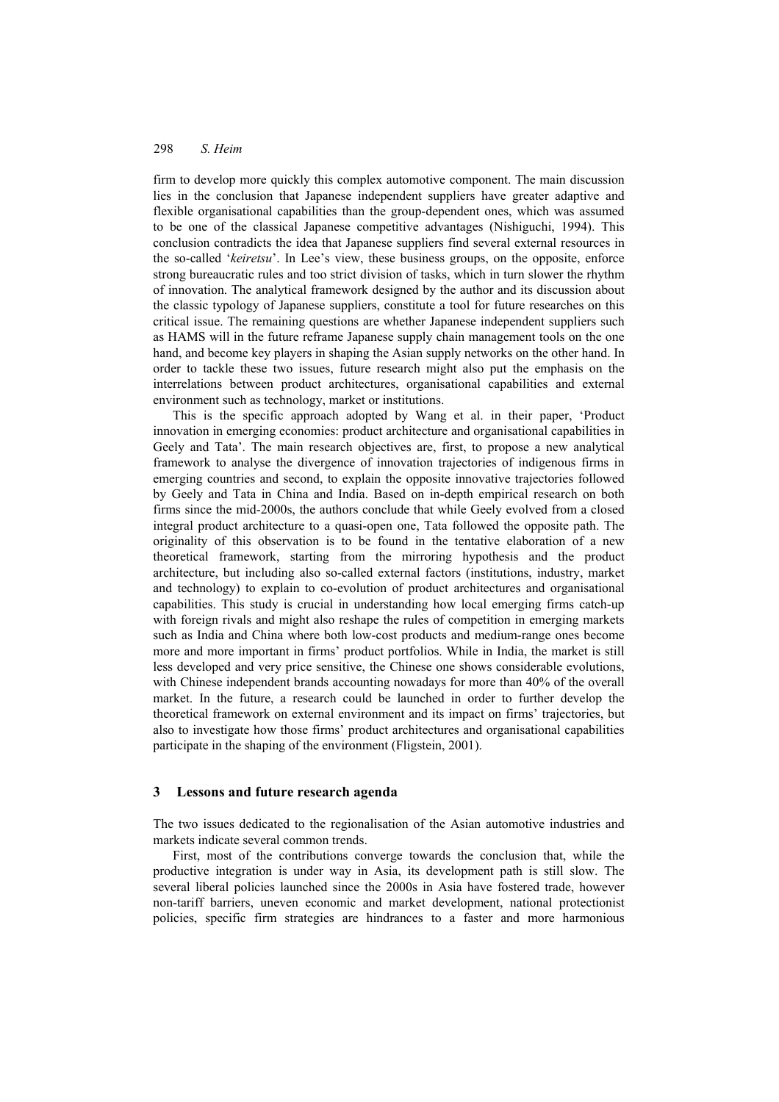#### 298 *S. Heim*

firm to develop more quickly this complex automotive component. The main discussion lies in the conclusion that Japanese independent suppliers have greater adaptive and flexible organisational capabilities than the group-dependent ones, which was assumed to be one of the classical Japanese competitive advantages (Nishiguchi, 1994). This conclusion contradicts the idea that Japanese suppliers find several external resources in the so-called '*keiretsu*'. In Lee's view, these business groups, on the opposite, enforce strong bureaucratic rules and too strict division of tasks, which in turn slower the rhythm of innovation. The analytical framework designed by the author and its discussion about the classic typology of Japanese suppliers, constitute a tool for future researches on this critical issue. The remaining questions are whether Japanese independent suppliers such as HAMS will in the future reframe Japanese supply chain management tools on the one hand, and become key players in shaping the Asian supply networks on the other hand. In order to tackle these two issues, future research might also put the emphasis on the interrelations between product architectures, organisational capabilities and external environment such as technology, market or institutions.

This is the specific approach adopted by Wang et al. in their paper, 'Product innovation in emerging economies: product architecture and organisational capabilities in Geely and Tata'. The main research objectives are, first, to propose a new analytical framework to analyse the divergence of innovation trajectories of indigenous firms in emerging countries and second, to explain the opposite innovative trajectories followed by Geely and Tata in China and India. Based on in-depth empirical research on both firms since the mid-2000s, the authors conclude that while Geely evolved from a closed integral product architecture to a quasi-open one, Tata followed the opposite path. The originality of this observation is to be found in the tentative elaboration of a new theoretical framework, starting from the mirroring hypothesis and the product architecture, but including also so-called external factors (institutions, industry, market and technology) to explain to co-evolution of product architectures and organisational capabilities. This study is crucial in understanding how local emerging firms catch-up with foreign rivals and might also reshape the rules of competition in emerging markets such as India and China where both low-cost products and medium-range ones become more and more important in firms' product portfolios. While in India, the market is still less developed and very price sensitive, the Chinese one shows considerable evolutions, with Chinese independent brands accounting nowadays for more than 40% of the overall market. In the future, a research could be launched in order to further develop the theoretical framework on external environment and its impact on firms' trajectories, but also to investigate how those firms' product architectures and organisational capabilities participate in the shaping of the environment (Fligstein, 2001).

#### **3 Lessons and future research agenda**

The two issues dedicated to the regionalisation of the Asian automotive industries and markets indicate several common trends.

First, most of the contributions converge towards the conclusion that, while the productive integration is under way in Asia, its development path is still slow. The several liberal policies launched since the 2000s in Asia have fostered trade, however non-tariff barriers, uneven economic and market development, national protectionist policies, specific firm strategies are hindrances to a faster and more harmonious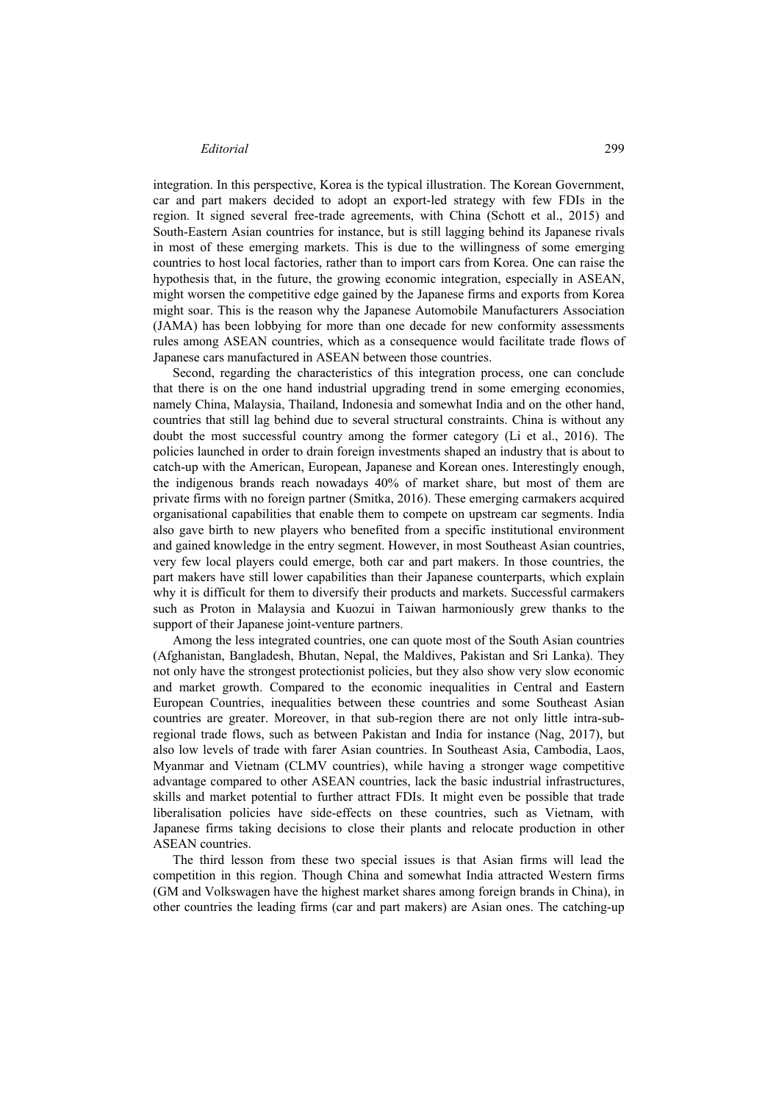integration. In this perspective, Korea is the typical illustration. The Korean Government, car and part makers decided to adopt an export-led strategy with few FDIs in the region. It signed several free-trade agreements, with China (Schott et al., 2015) and South-Eastern Asian countries for instance, but is still lagging behind its Japanese rivals in most of these emerging markets. This is due to the willingness of some emerging countries to host local factories, rather than to import cars from Korea. One can raise the hypothesis that, in the future, the growing economic integration, especially in ASEAN, might worsen the competitive edge gained by the Japanese firms and exports from Korea might soar. This is the reason why the Japanese Automobile Manufacturers Association (JAMA) has been lobbying for more than one decade for new conformity assessments rules among ASEAN countries, which as a consequence would facilitate trade flows of Japanese cars manufactured in ASEAN between those countries.

Second, regarding the characteristics of this integration process, one can conclude that there is on the one hand industrial upgrading trend in some emerging economies, namely China, Malaysia, Thailand, Indonesia and somewhat India and on the other hand, countries that still lag behind due to several structural constraints. China is without any doubt the most successful country among the former category (Li et al., 2016). The policies launched in order to drain foreign investments shaped an industry that is about to catch-up with the American, European, Japanese and Korean ones. Interestingly enough, the indigenous brands reach nowadays 40% of market share, but most of them are private firms with no foreign partner (Smitka, 2016). These emerging carmakers acquired organisational capabilities that enable them to compete on upstream car segments. India also gave birth to new players who benefited from a specific institutional environment and gained knowledge in the entry segment. However, in most Southeast Asian countries, very few local players could emerge, both car and part makers. In those countries, the part makers have still lower capabilities than their Japanese counterparts, which explain why it is difficult for them to diversify their products and markets. Successful carmakers such as Proton in Malaysia and Kuozui in Taiwan harmoniously grew thanks to the support of their Japanese joint-venture partners.

Among the less integrated countries, one can quote most of the South Asian countries (Afghanistan, Bangladesh, Bhutan, Nepal, the Maldives, Pakistan and Sri Lanka). They not only have the strongest protectionist policies, but they also show very slow economic and market growth. Compared to the economic inequalities in Central and Eastern European Countries, inequalities between these countries and some Southeast Asian countries are greater. Moreover, in that sub-region there are not only little intra-subregional trade flows, such as between Pakistan and India for instance (Nag, 2017), but also low levels of trade with farer Asian countries. In Southeast Asia, Cambodia, Laos, Myanmar and Vietnam (CLMV countries), while having a stronger wage competitive advantage compared to other ASEAN countries, lack the basic industrial infrastructures, skills and market potential to further attract FDIs. It might even be possible that trade liberalisation policies have side-effects on these countries, such as Vietnam, with Japanese firms taking decisions to close their plants and relocate production in other ASEAN countries.

The third lesson from these two special issues is that Asian firms will lead the competition in this region. Though China and somewhat India attracted Western firms (GM and Volkswagen have the highest market shares among foreign brands in China), in other countries the leading firms (car and part makers) are Asian ones. The catching-up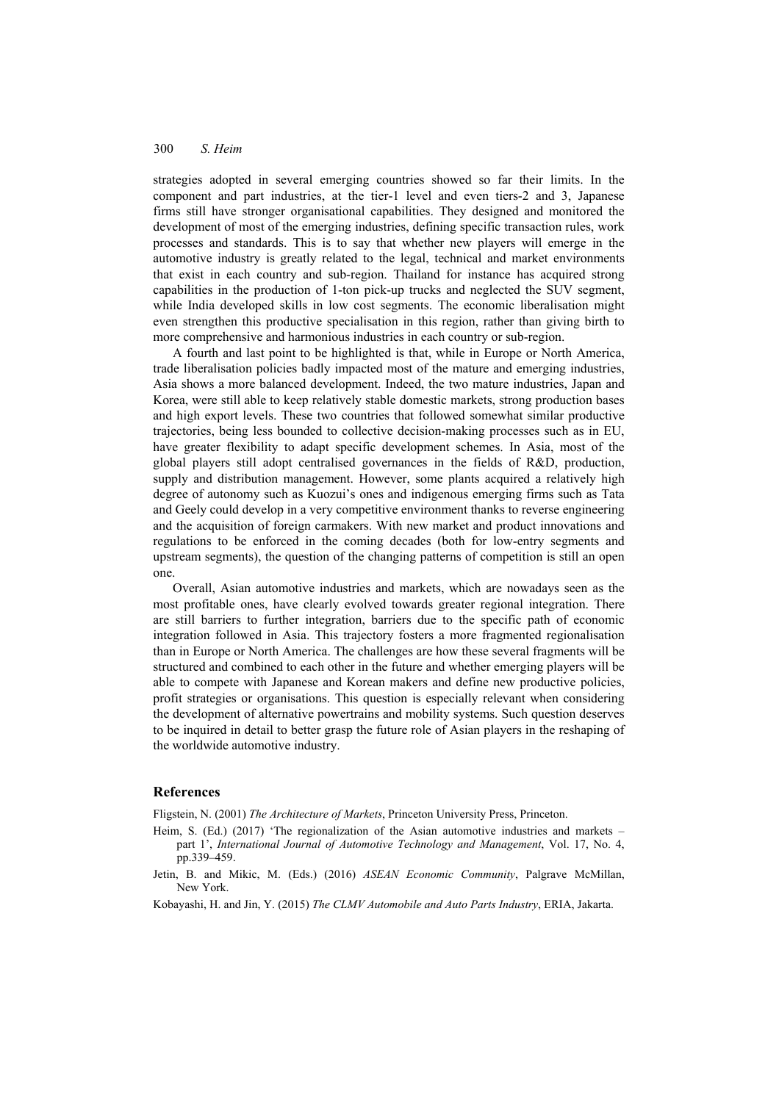#### 300 *S. Heim*

strategies adopted in several emerging countries showed so far their limits. In the component and part industries, at the tier-1 level and even tiers-2 and 3, Japanese firms still have stronger organisational capabilities. They designed and monitored the development of most of the emerging industries, defining specific transaction rules, work processes and standards. This is to say that whether new players will emerge in the automotive industry is greatly related to the legal, technical and market environments that exist in each country and sub-region. Thailand for instance has acquired strong capabilities in the production of 1-ton pick-up trucks and neglected the SUV segment, while India developed skills in low cost segments. The economic liberalisation might even strengthen this productive specialisation in this region, rather than giving birth to more comprehensive and harmonious industries in each country or sub-region.

A fourth and last point to be highlighted is that, while in Europe or North America, trade liberalisation policies badly impacted most of the mature and emerging industries, Asia shows a more balanced development. Indeed, the two mature industries, Japan and Korea, were still able to keep relatively stable domestic markets, strong production bases and high export levels. These two countries that followed somewhat similar productive trajectories, being less bounded to collective decision-making processes such as in EU, have greater flexibility to adapt specific development schemes. In Asia, most of the global players still adopt centralised governances in the fields of R&D, production, supply and distribution management. However, some plants acquired a relatively high degree of autonomy such as Kuozui's ones and indigenous emerging firms such as Tata and Geely could develop in a very competitive environment thanks to reverse engineering and the acquisition of foreign carmakers. With new market and product innovations and regulations to be enforced in the coming decades (both for low-entry segments and upstream segments), the question of the changing patterns of competition is still an open one.

Overall, Asian automotive industries and markets, which are nowadays seen as the most profitable ones, have clearly evolved towards greater regional integration. There are still barriers to further integration, barriers due to the specific path of economic integration followed in Asia. This trajectory fosters a more fragmented regionalisation than in Europe or North America. The challenges are how these several fragments will be structured and combined to each other in the future and whether emerging players will be able to compete with Japanese and Korean makers and define new productive policies, profit strategies or organisations. This question is especially relevant when considering the development of alternative powertrains and mobility systems. Such question deserves to be inquired in detail to better grasp the future role of Asian players in the reshaping of the worldwide automotive industry.

#### **References**

Fligstein, N. (2001) *The Architecture of Markets*, Princeton University Press, Princeton.

- Heim, S. (Ed.) (2017) 'The regionalization of the Asian automotive industries and markets part 1', *International Journal of Automotive Technology and Management*, Vol. 17, No. 4, pp.339–459.
- Jetin, B. and Mikic, M. (Eds.) (2016) *ASEAN Economic Community*, Palgrave McMillan, New York.
- Kobayashi, H. and Jin, Y. (2015) *The CLMV Automobile and Auto Parts Industry*, ERIA, Jakarta.